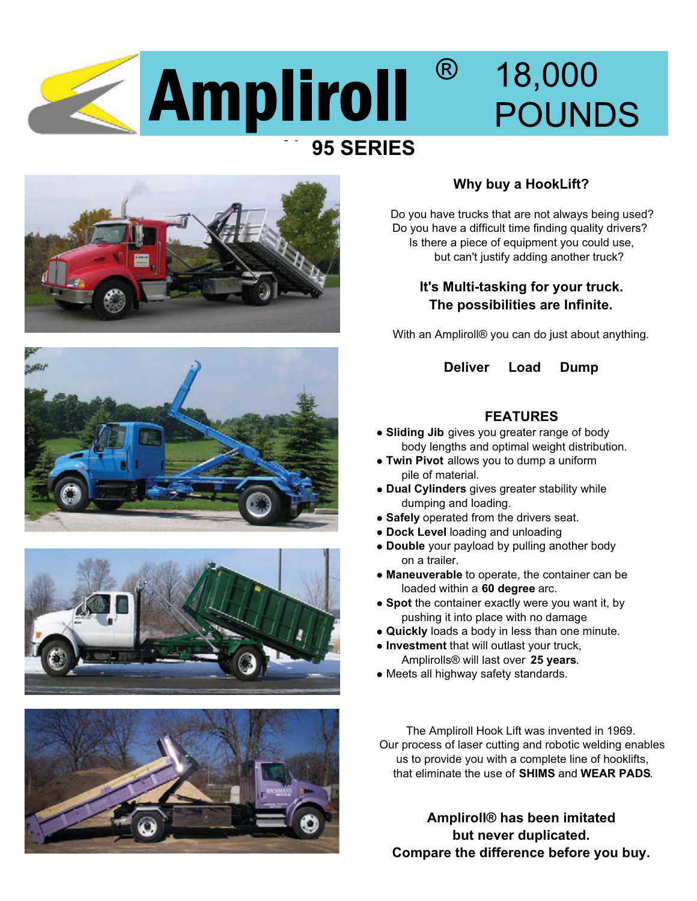









## **Why buy a HookLift?**

Do you have trucks that are not always being used? Do you have a difficult time finding quality drivers? Is there a piece of equipment you could use, but can't justify adding another truck?

### **It's Multi-tasking for your truck. The possibilities are Infinite.**

With an Ampliroll® you can do just about anything.

#### **Deliver Load Dump**

#### **FEATURES**

- body lengths and optimal weight distribution.  **Sliding Jib** gives you greater range of body
- pile of material. **Twin Pivot** allows you to dump a uniform
- **Dual Cylinders** gives greater stability while dumping and loading.
- **Safely** operated from the drivers seat.
- **Dock Level** loading and unloading
- on a trailer. **Double** your payload by pulling another body
- loaded within a **60 degree** arc. **Maneuverable** to operate, the container can be
- **Spot** the container exactly were you want it, by pushing it into place with no damage
- **Quickly** loads a body in less than one minute.
- **Investment** that will outlast your truck, Amplirolls® will last over **25 years**.
- Meets all highway safety standards.

 us to provide you with a complete line of hooklifts, that eliminate the use of **SHIMS** and **WEAR PADS**. The Ampliroll Hook Lift was invented in 1969. Our process of laser cutting and robotic welding enables

**Ampliroll® has been imitated Compare the difference before you buy. but never duplicated.**